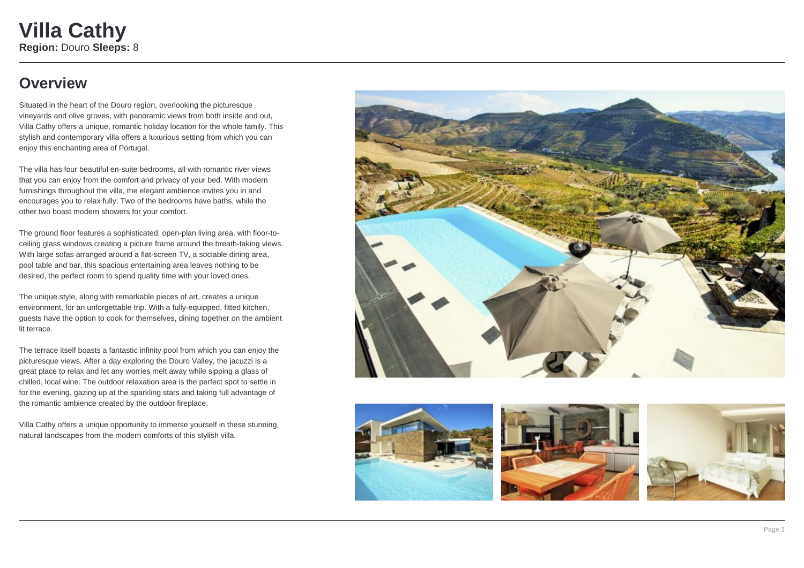### **Overview**

Situated in the heart of the Douro region, overlooking the picturesque vineyards and olive groves, with panoramic views from both inside and out, Villa Cathy offers a unique, romantic holiday location for the whole family. This stylish and contemporary villa offers a luxurious setting from which you can enjoy this enchanting area of Portugal.

The villa has four beautiful en-suite bedrooms, all with romantic river views that you can enjoy from the comfort and privacy of your bed. With modern furnishings throughout the villa, the elegant ambience invites you in and encourages you to relax fully. Two of the bedrooms have baths, while the other two boast modern showers for your comfort.

The ground floor features a sophisticated, open-plan living area, with floor-toceiling glass windows creating a picture frame around the breath-taking views. With large sofas arranged around a flat-screen TV, a sociable dining area, pool table and bar, this spacious entertaining area leaves nothing to be desired, the perfect room to spend quality time with your loved ones.

The unique style, along with remarkable pieces of art, creates a unique environment, for an unforgettable trip. With a fully-equipped, fitted kitchen, guests have the option to cook for themselves, dining together on the ambient lit terrace.

The terrace itself boasts a fantastic infinity pool from which you can enjoy the picturesque views. After a day exploring the Douro Valley, the jacuzzi is a great place to relax and let any worries melt away while sipping a glass of chilled, local wine. The outdoor relaxation area is the perfect spot to settle in for the evening, gazing up at the sparkling stars and taking full advantage of the romantic ambience created by the outdoor fireplace.

Villa Cathy offers a unique opportunity to immerse yourself in these stunning, natural landscapes from the modern comforts of this stylish villa.







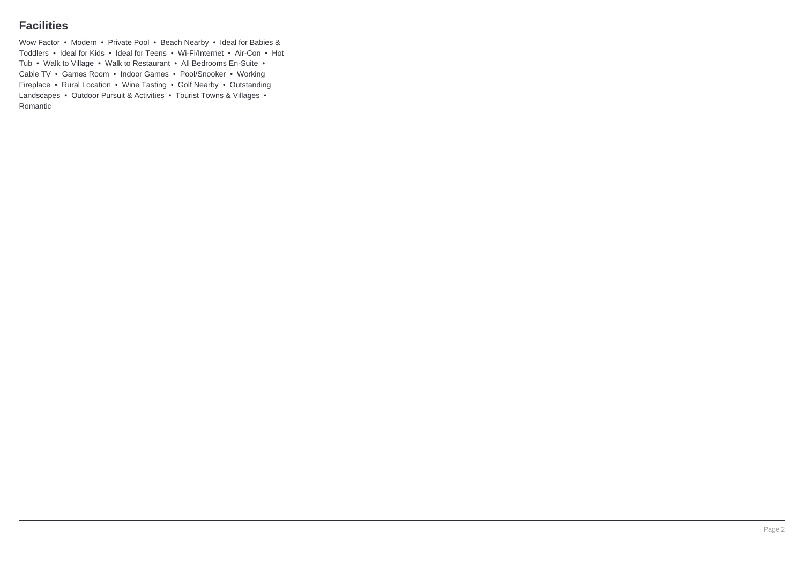### **Facilities**

Wow Factor • Modern • Private Pool • Beach Nearby • Ideal for Babies & Toddlers • Ideal for Kids • Ideal for Teens • Wi-Fi/Internet • Air-Con • Hot Tub • Walk to Village • Walk to Restaurant • All Bedrooms En-Suite • Cable TV • Games Room • Indoor Games • Pool/Snooker • Working Fireplace • Rural Location • Wine Tasting • Golf Nearby • Outstanding Landscapes • Outdoor Pursuit & Activities • Tourist Towns & Villages • Romantic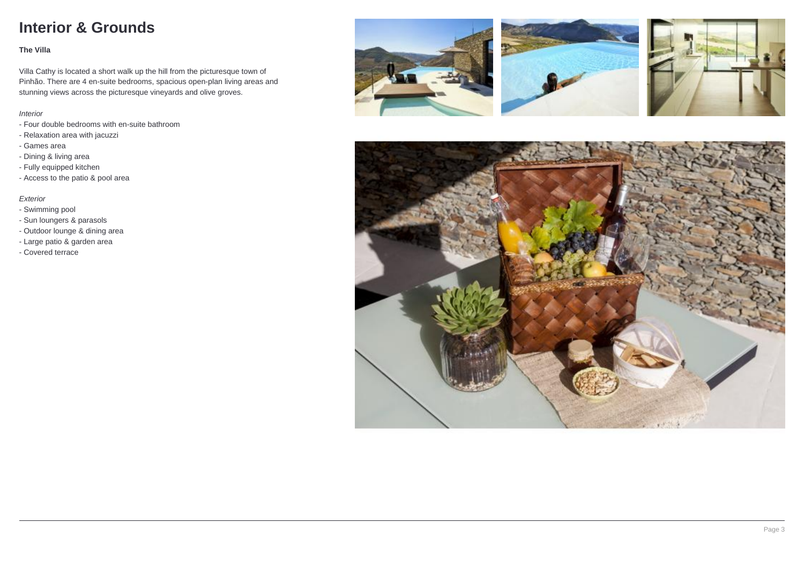## **Interior & Grounds**

#### **The Villa**

Villa Cathy is located a short walk up the hill from the picturesque town of Pinhão. There are 4 en-suite bedrooms, spacious open-plan living areas and stunning views across the picturesque vineyards and olive groves.

#### Interior

- Four double bedrooms with en-suite bathroom
- Relaxation area with jacuzzi
- Games area
- Dining & living area
- Fully equipped kitchen
- Access to the patio & pool area

#### Exterior

- Swimming pool
- Sun loungers & parasols
- Outdoor lounge & dining area
- Large patio & garden area
- Covered terrace







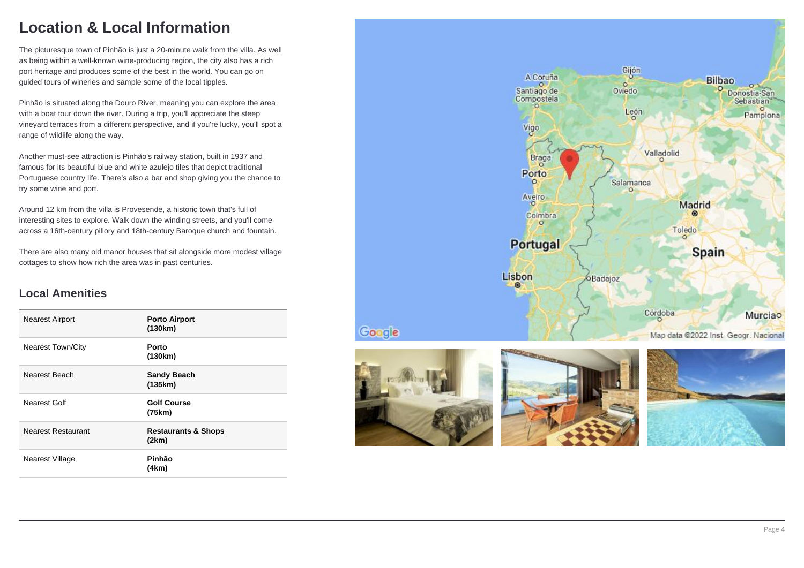## **Location & Local Information**

The picturesque town of Pinhão is just a 20-minute walk from the villa. As well as being within a well-known wine-producing region, the city also has a rich port heritage and produces some of the best in the world. You can go on guided tours of wineries and sample some of the local tipples.

Pinhão is situated along the Douro River, meaning you can explore the area with a boat tour down the river. During a trip, you'll appreciate the steep vineyard terraces from a different perspective, and if you're lucky, you'll spot a range of wildlife along the way.

Another must-see attraction is Pinhão's railway station, built in 1937 and famous for its beautiful blue and white azulejo tiles that depict traditional Portuguese country life. There's also a bar and shop giving you the chance to try some wine and port.

Around 12 km from the villa is Provesende, a historic town that's full of interesting sites to explore. Walk down the winding streets, and you'll come across a 16th-century pillory and 18th-century Baroque church and fountain.

There are also many old manor houses that sit alongside more modest village cottages to show how rich the area was in past centuries.

### **Local Amenities**

| <b>Nearest Airport</b>    | <b>Porto Airport</b><br>(130km)         |
|---------------------------|-----------------------------------------|
| <b>Nearest Town/City</b>  | Porto<br>(130km)                        |
| Nearest Beach             | <b>Sandy Beach</b><br>(135km)           |
| Nearest Golf              | <b>Golf Course</b><br>(75km)            |
| <b>Nearest Restaurant</b> | <b>Restaurants &amp; Shops</b><br>(2km) |
| Nearest Village           | Pinhão<br>(4km)                         |





Google



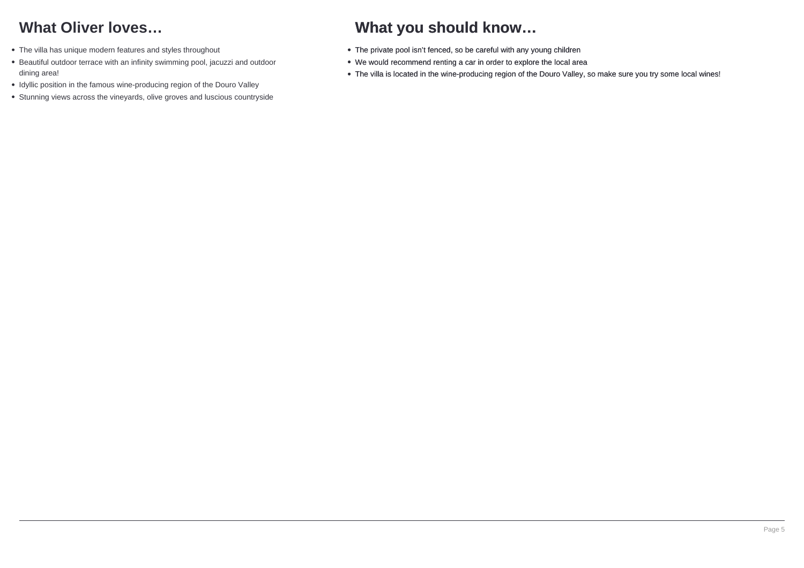# **What Oliver loves…**

- The villa has unique modern features and styles throughout
- Beautiful outdoor terrace with an infinity swimming pool, jacuzzi and outdoor dining area!
- Idyllic position in the famous wine-producing region of the Douro Valley
- Stunning views across the vineyards, olive groves and luscious countryside

# **What you should know…**

- The private pool isn't fenced, so be careful with any young children
- We would recommend renting a car in order to explore the local area
- The villa is located in the wine-producing region of the Douro Valley, so make sure you try some local wines!